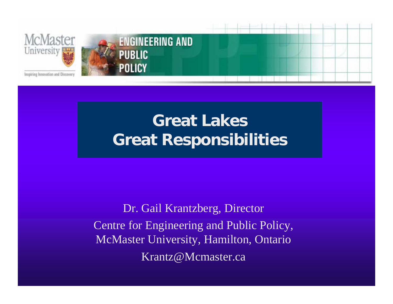

#### **Great LakesGreat Responsibilities**

Dr. Gail Krantzberg, Director Centre for Engineering and Public Policy, McMaster University, Hamilton, Ontario Krantz@Mcmaster.ca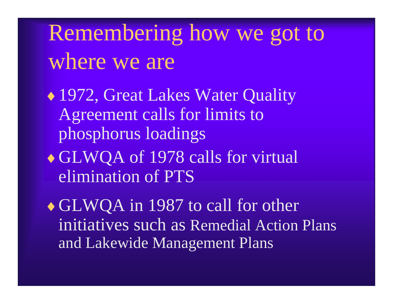Remembering how we got to where we are

♦1972, Great Lakes Water Quality Agreement calls for limits to phosphorus loadings

♦GLWQA of 1978 calls for virtual elimination of PTS

♦GLWQA in 1987 to call for other initiatives such as Remedial Action Plans and Lakewide Management Plans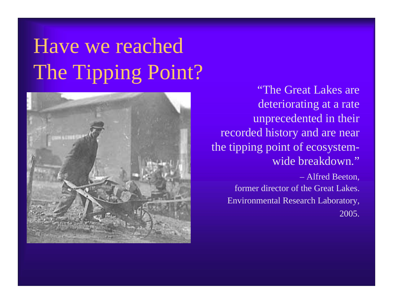# Have we reached The Tipping Point?



"The Great Lakes are deteriorating at a rate unprecedented in their recorded history and are near the tipping point of ecosystemwide breakdown." – Alfred Beeton, former director of the Great Lakes. Environmental Research Laboratory, 2005.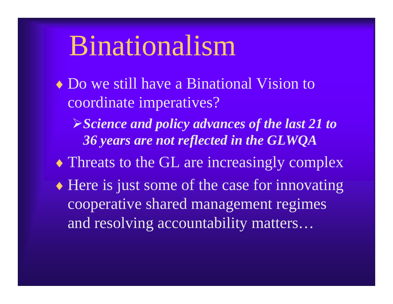# Binationalism

♦ Do we still have a Binational Vision to coordinate imperatives?

¾*Science and policy advances of the last 21 to 36 years are not reflected in the GLWQA*

♦ Threats to the GL are increasingly complex

♦ Here is just some of the case for innovating cooperative shared management regimes and resolving accountability matters…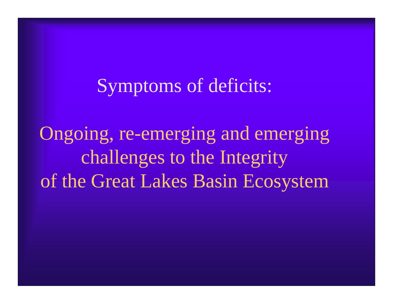Symptoms of deficits:

Ongoing, re-emerging and emerging challenges to the Integrity of the Great Lakes Basin Ecosystem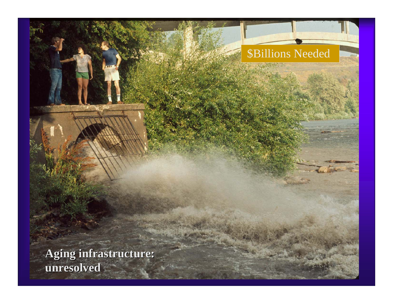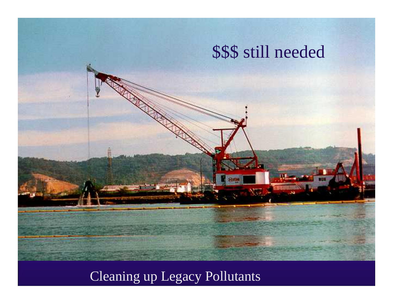### \$\$\$ still needed

Cleaning up Legacy Pollutants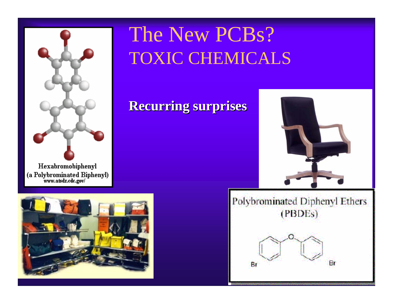

## The New PCBs? TOXIC CHEMICALS

#### **Recurring surprises Recurring surprises**



Polybrominated Diphenyl Ethers (PBDEs)

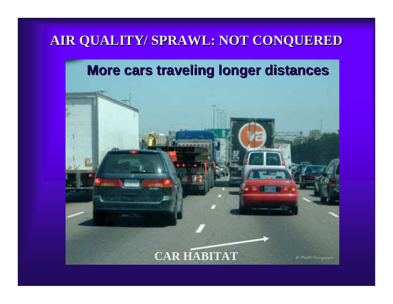#### **AIR QUALITY/ SPRAWL: NOT CONQUERED AIR QUALITY/ SPRAWL: NOT CONQUERED**

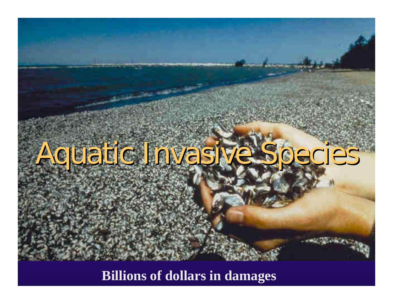# Aquatic Invasive Species

**Billions of dollars in damages**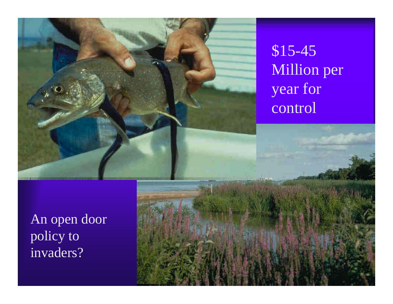\$15-45 Million per year for control

An open door policy to invaders?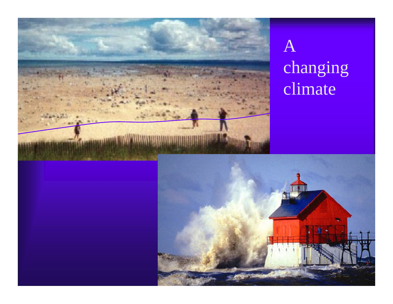

## $\rm A$  . changing climate

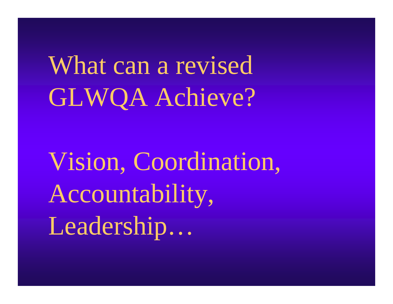What can a revised GLWQA Achieve?

Vision, Coordination, Accountability, Leadership…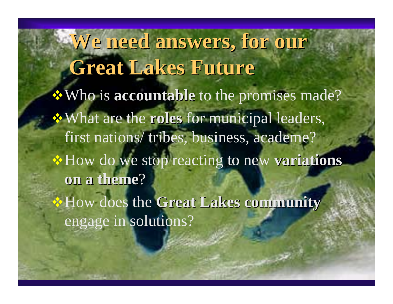**We need answers, for our We need answers, for our Great Lakes Future Great Lakes Future Who is accountable** to the promises made? What are the **roles** for municipal leaders, first nations/ tribes, business, academe? How do we stop reacting to new **variations variations on a theme?**  $\triangle$  How does the Great Lakes community engage in solutions?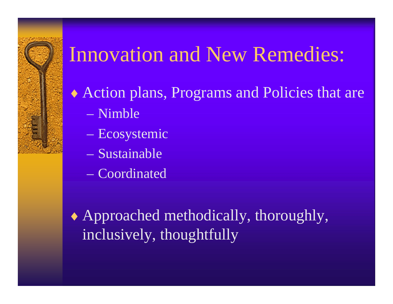## Innovation and New Remedies:

- ♦ Action plans, Programs and Policies that are
	- Nimble
	- Ecosystemic
	- Sustainable
	- Coordinated

♦ Approached methodically, thoroughly, inclusively, thoughtfully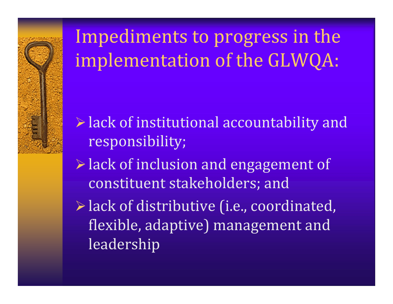Impediments to progress in the implementation of the GLWQA:

 $\triangleright$  lack of institutional accountability and responsibility;

 $\triangleright$  lack of inclusion and engagement of constituent stakeholders; and

¾lack of distributive (i.e., coordinated, flexible, adaptive) management and leadership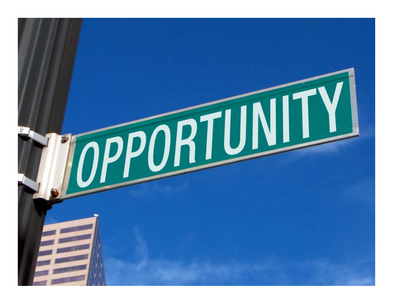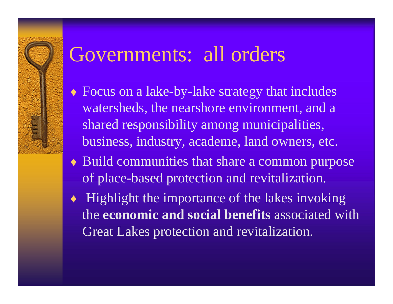## Governments: all orders

- ♦ Focus on a lake-by-lake strategy that includes watersheds, the nearshore environment, and a shared responsibility among municipalities, business, industry, academe, land owners, etc.
- ♦ Build communities that share a common purpose of place-based protection and revitalization.
- ♦ Highlight the importance of the lakes invoking the **economic and social benefits** associated with Great Lakes protection and revitalization.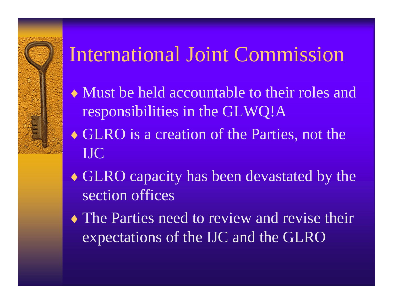## International Joint Commission

- ♦ Must be held accountable to their roles and responsibilities in the GLWQ!A
- ♦ GLRO is a creation of the Parties, not the IJC
- ♦ GLRO capacity has been devastated by the section offices
- The Parties need to review and revise their expectations of the IJC and the GLRO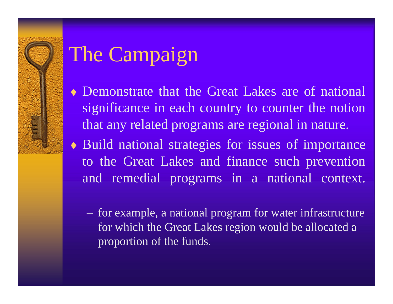# The Campaign

- ♦ Demonstrate that the Great Lakes are of national significance in each country to counter the notion that any related programs are regional in nature.
- ♦ Build national strategies for issues of importance to the Great Lakes and finance such prevention and remedial programs in a national context.
	- for example, a national program for water infrastructure for which the Great Lakes region would be allocated a proportion of the funds.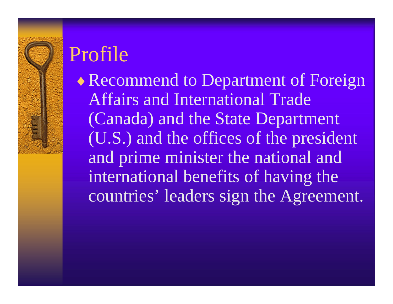# Profile

♦Recommend to Department of Foreign Affairs and International Trade (Canada) and the State Department (U.S.) and the offices of the president and prime minister the national and international benefits of having the countries' leaders sign the Agreement.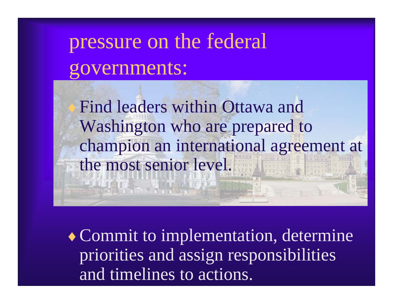pressure on the federal governments:

Find leaders within Ottawa and Washington who are prepared to champion an international agreement at the most senior level.  $H^1(\mathcal{V}_1) \to H^1(\mathcal{V}_1)$ 

♦Commit to implementation, determine priorities and assign responsibilities and timelines to actions.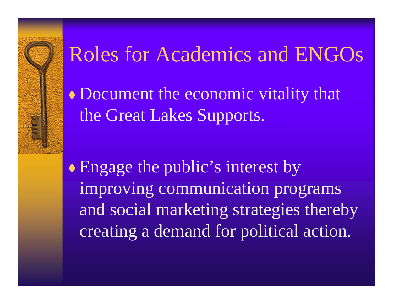# Roles for Academics and ENGOs

♦Document the economic vitality that the Great Lakes Supports.

♦Engage the public's interest by improving communication programs and social marketing strategies thereby creating a demand for political action.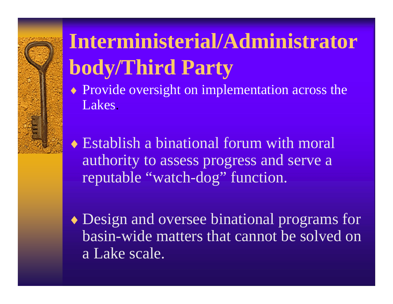# **Interministerial/Administrator body/Third Party**

- ♦ Provide oversight on implementation across the Lakes.
- ♦ Establish a binational forum with moral authority to assess progress and serve a reputable "watch-dog" function.
- ♦ Design and oversee binational programs for basin-wide matters that cannot be solved on a Lake scale.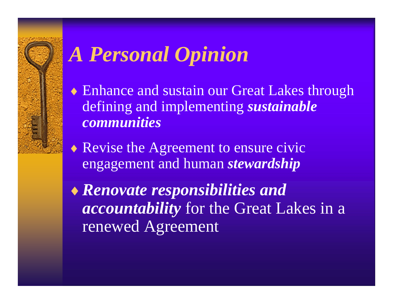# *A Personal Opinion*

♦ Enhance and sustain our Great Lakes through defining and implementing *sustainable communities*

♦ Revise the Agreement to ensure civic engagement and human *stewardship*

♦*Renovate responsibilities and accountability* for the Great Lakes in a renewed Agreement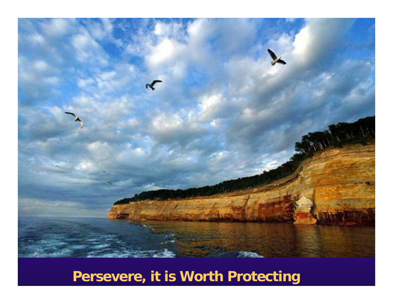

#### **Persevere, it is Worth Protecting**